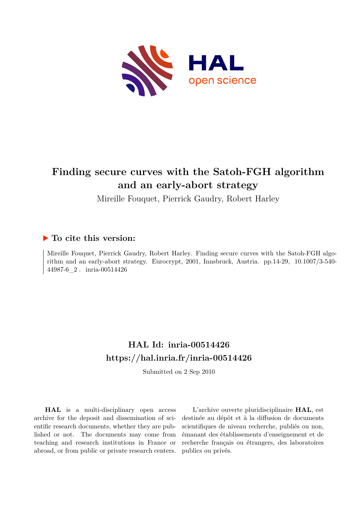

# **Finding secure curves with the Satoh-FGH algorithm and an early-abort strategy**

Mireille Fouquet, Pierrick Gaudry, Robert Harley

## **To cite this version:**

Mireille Fouquet, Pierrick Gaudry, Robert Harley. Finding secure curves with the Satoh-FGH algorithm and an early-abort strategy. Eurocrypt, 2001, Innsbruck, Austria. pp.  $14-29$ ,  $10.1007/3-540-$ 44987-6\_2. inria-00514426

# **HAL Id: inria-00514426 <https://hal.inria.fr/inria-00514426>**

Submitted on 2 Sep 2010

**HAL** is a multi-disciplinary open access archive for the deposit and dissemination of scientific research documents, whether they are published or not. The documents may come from teaching and research institutions in France or abroad, or from public or private research centers.

L'archive ouverte pluridisciplinaire **HAL**, est destinée au dépôt et à la diffusion de documents scientifiques de niveau recherche, publiés ou non, émanant des établissements d'enseignement et de recherche français ou étrangers, des laboratoires publics ou privés.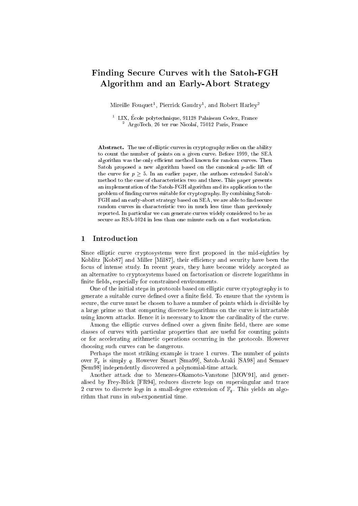## Finding Se
ure Curves with the Satoh-FGH Algorithm and an Early-Abort Strategy

Mireille Fouquet , Pierrick Gaudry , and Robert Harley

. LIX, Ecole noivtecnnique, 91128 Palaiseau Cedex, France - Argolech, 26 ter rue Nicolai, 75012 Paris, France

Abstract. The use of elliptic curves in cryptography relies on the ability to count the number of points on a given curve. Before 1999, the SEA algorithm was the only efficient method known for random curves. Then Satoh proposed a new algorithm based on the canonical p-adic lift of the curve for  $p > 5$ . In an earlier paper, the authors extended Satoh's method to the case of characteristics two and three. This paper presents an implementation of the Satoh-FGH algorithm and its appli
ation to the problem of finding curves suitable for cryptography. By combining Satoh-FGH and an early-abort strategy based on SEA, we are able to find secure random curves in characteristic two in much less time than previously reported. In particular we can generate curves widely considered to be as secure as RSA-1024 in less than one minute each on a fast workstation.

#### 1Introdu
tion

Since elliptic curve cryptosystems were first proposed in the mid-eighties by Koblitz [Kob87] and Miller [Mil87], their efficiency and security have been the focus of intense study. In recent years, they have become widely accepted as an alternative to cryptosystems based on factorisation or discrete logarithms in finite fields, especially for constrained environments.

One of the initial steps in protocols based on elliptic curve cryptography is to generate a suitable curve defined over a finite field. To ensure that the system is secure, the curve must be chosen to have a number of points which is divisible by a large prime so that computing discrete logarithms on the curve is intractable using known attacks. Hence it is necessary to know the cardinality of the curve.

Among the elliptic curves defined over a given finite field, there are some classes of curves with particular properties that are useful for counting points or for accelerating arithmetic operations occurring in the protocols. However hoosing su
h urves an be dangerous.

Perhaps the most striking example is trace 1 curves. The number of points over  $\mathbb{F}_q$  is simply q. However Smart [Sma99], Satoh-Araki [SA98] and Semaev [Sem98] independently discovered a polynomial-time attack.

Another attack due to Menezes-Okamoto-Vanstone [MOV91], and generalised by Frey-Rück [FR94], reduces discrete logs on supersingular and trace 2 curves to discrete logs in a small-degree extension of  $\mathbb{F}_q$ . This yields an algorithm that runs in sub-exponential time.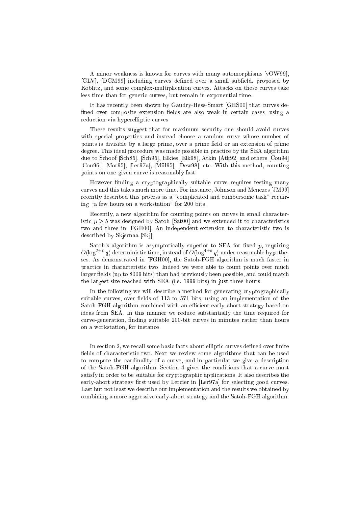A minor weakness is known for curves with many automorphisms  $[vOW99]$ , [GLV], [DGM99] including curves defined over a small subfield, proposed by Koblitz, and some complex-multiplication curves. Attacks on these curves take less time than for generic curves, but remain in exponential time.

It has recently been shown by Gaudry-Hess-Smart [GHS00] that curves defined over composite extension fields are also weak in certain cases, using a reduction via hyperelliptic curves.

These results suggest that for maximum security one should avoid curves with special properties and instead choose a random curve whose number of points is divisible by a large prime, over a prime field or an extension of prime degree. This ideal procedure was made possible in practice by the SEA algorithm due to Schoof [Sch85], [Sch95], Elkies [Elk98], Atkin [Atk92] and others [Cou94] [Cou96], [Mor95], [Ler97a], [Mül95], [Dew98], etc. With this method, counting points on one given urve is reasonably fast.

However finding a cryptographically suitable curve requires testing many curves and this takes much more time. For instance, Johnson and Menezes [JM99] recently described this process as a "complicated and cumbersome task" requiring "a few hours on a workstation" for  $200$  bits.

Recently, a new algorithm for counting points on curves in small characteristic  $p > 5$  was designed by Satoh [Sat00] and we extended it to characteristics two and three in [FGH00]. An independent extension to characteristic two is described by Skjernaa [Skj].

Satoh's algorithm is asymptotically superior to SEA for fixed  $p$ , requiring  $O(\log^{3+\epsilon}q)$  deterministic time, instead of  $O(\log^{3+\epsilon}q)$  under reasonable hypotheses. As demonstrated in [FGH00], the Satoh-FGH algorithm is much faster in practice in characteristic two. Indeed we were able to count points over much larger fields (up to 8009 bits) than had previously been possible, and could match the largest size rea
hed with SEA (i.e. 1999 bits) in just three hours.

In the following we will describe a method for generating cryptographically suitable curves, over fields of 113 to 571 bits, using an implementation of the Satoh-FGH algorithm combined with an efficient early-abort strategy based on ideas from SEA. In this manner we redu
e substantially the time required for urve-generation, nding suitable 200-bit urves in minutes rather than hours on a workstation, for instan
e.

In section 2, we recall some basic facts about elliptic curves defined over finite fields of characteristic two. Next we review some algorithms that can be used to compute the cardinality of a curve, and in particular we give a description of the Satoh-FGH algorithm. Se
tion 4 gives the onditions that a urve must satisfy in order to be suitable for cryptographic applications. It also describes the early-abort strategy first used by Lercier in [Ler97a] for selecting good curves. Last but not least we describe our implementation and the results we obtained by ombining a more aggressive early-abort strategy and the Satoh-FGH algorithm.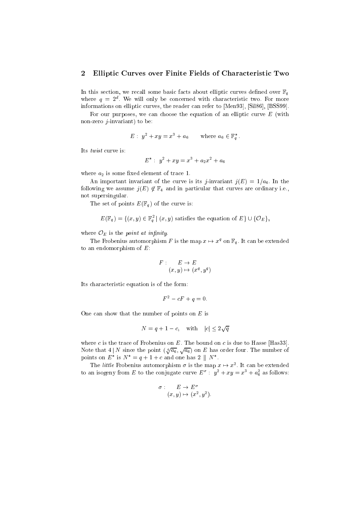#### 2Elliptic Curves over Finite Fields of Characteristic Two

In this section, we recall some basic facts about elliptic curves defined over  $\mathbb{F}_q$ where  $q = z^*$ . We will only be concerned with characteristic two. For more informations on elliptic curves, the reader can refer to [Men93], [Sil86], [BSS99].

For our purposes, we can choose the equation of an elliptic curve  $E$  (with non-zero  $j$ -invariant) to be:

$$
E: y^2 + xy = x^3 + a_6 \quad \text{where } a_6 \in \mathbb{F}_q^*.
$$

Its *twist* curve is:

$$
E^* : y^2 + xy = x^3 + a_2x^2 + a_6
$$

where  $a_2$  is some fixed element of trace 1.

An important invariant of the curve is its *j*-invariant  $j(E) = 1/a_6$ . In the following we assume  $j(E) \notin \mathbb{F}_4$  and in particular that curves are ordinary i.e., not supersingular.

The set of points  $E(\mathbb{F}_q)$  of the curve is:

 $E(\mathbb{F}_q^-)=\{(x,y)\in \mathbb{F}_q^- \mid (x,y) \text{ satisfies the equation of } E\}\cup \{O_E\},$ 

where  $\mathcal{O}_E$  is the *point at infinity*.

The Frobenius automorphism F is the map  $x \mapsto x^x$  on  $\mathbb{F}_q$ . It can be extended to an endomorphism of  $E$ :

$$
F: E \to E
$$

$$
(x, y) \mapsto (x^q, y^q)
$$

Its characteristic equation is of the form:

$$
F^2 - cF + q = 0.
$$

One can show that the number of points on  $E$  is

$$
N = q + 1 - c, \quad \text{with} \quad |c| \le 2\sqrt{q}
$$

where c is the trace of Frobenius on  $E$ . The bound on c is due to Hasse [Has33]. Note that  $4|N$  since the point  $(4/\overline{a_6}, \sqrt{a_6})$  on E has order four. The number of points on E is  $N = q + 1 + c$  and one has  $2 \parallel N$ .

The *little* Frobenius automorphism  $\sigma$  is the map  $x \mapsto x^2$ . It can be extended to an isogeny from E to the conjugate curve  $E^+$ :  $y^- + xy = x^+ + a_6^-$  as follows:

$$
\sigma: E \to E^{\sigma}
$$
  

$$
(x, y) \mapsto (x^2, y^2).
$$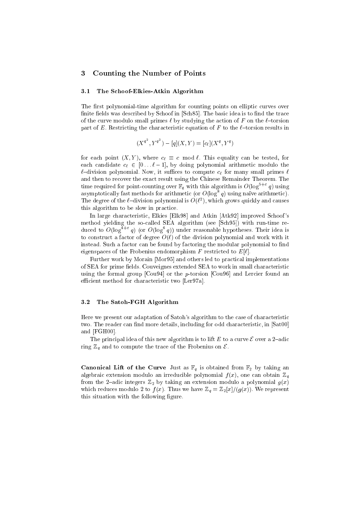#### 3Counting the Number of Points

## 3.1 The S
hoof-Elkies-Atkin Algorithm

The first polynomial-time algorithm for counting points on elliptic curves over finite fields was described by Schoof in [Sch85]. The basic idea is to find the trace of the curve modulo small primes  $\ell$  by studying the action of F on the  $\ell$ -torsion part of E. Restricting the characteristic equation of F to the  $\ell$ -torsion results in

$$
(X^{q^2}, Y^{q^2}) - [q](X, Y) = [c_\ell](X^q, Y^q)
$$

for each point  $(X, Y)$ , where  $c_{\ell} \equiv c \mod \ell$ . This equality can be tested, for each candidate  $c_{\ell} \in [0 \dots \ell-1]$ , by doing polynomial arithmetic modulo the  $\ell$ -division polynomial. Now, it suffices to compute  $c_{\ell}$  for many small primes  $\ell$ and then to re
over the exa
t result using the Chinese Remainder Theorem. The time required for point-counting over  $\mathbb{F}_q$  with this algorithm is  $O(\log^{1+\epsilon}q)$  using asymptotically fast methods for arithmetic (or  $O(\log^2 q)$  using naive arithmetic). I he degree of the  $t=0.01$  show polynomial is  $O(t^-)$ , which grows quickly and causes this algorithm to be slow in practice.

In large characteristic, Elkies [Elk98] and Atkin [Atk92] improved Schoof's method yielding the so-called SEA algorithm (see [Sch95]) with run-time reduced to  $O(\log^+ \frac{q}{q})$  (or  $O(\log^+ q)$ ) under reasonable hypotheses. Their idea is to construct a factor of degree  $O(\ell)$  of the division polynomial and work with it instead. Such a factor can be found by factoring the modular polynomial to find eigenspaces of the Frobenius endomorphism F restricted to  $E[\ell]$ .

Further work by Morain [Mor95] and others led to practical implementations of SEA for prime fields. Couveignes extended SEA to work in small characteristic using the formal group  $[$ Cou $94]$  or the *p*-torsion  $[$ Cou $96]$  and Lercier found an efficient method for characteristic two [Ler97a].

## 3.2 The Satoh-FGH Algorithm

Here we present our adaptation of Satoh's algorithm to the case of characteristic two. The reader can find more details, including for odd characteristic, in  $[Sat00]$ and  $[FGH00]$ .

The principal idea of this new algorithm is to lift E to a curve  $\mathcal E$  over a 2-adic ring  $\mathbb{Z}_q$  and to compute the trace of the Frobenius on  $\mathcal{E}$ .

**Canonical Lift of the Curve** Just as  $\mathbb{F}_q$  is obtained from  $\mathbb{F}_2$  by taking an algebraic extension modulo an irreducible polynomial  $f(x)$ , one can obtain  $\mathbb{Z}_q$ from the 2-adic integers  $\mathbb{Z}_2$  by taking an extension modulo a polynomial  $g(x)$ which reduces modulo 2 to  $f(x)$ . Thus we have  $\mathbb{Z}_q = \mathbb{Z}_2[x]/(g(x))$ . We represent this situation with the following figure.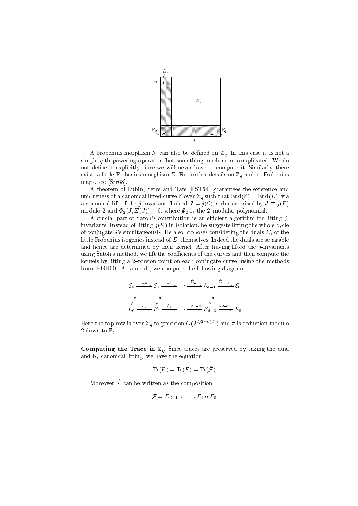

A Frobenius morphism  $\mathcal F$  can also be defined on  $\mathbb{Z}_q$ . In this case it is not a simple q-th powering operation but something much more complicated. We do not define it explicitly since we will never have to compute it. Similarly, there exists a little Frobenius morphism  $\Sigma$ . For further details on  $\mathbb{Z}_q$  and its Frobenius maps, see [Ser68].

A theorem of Lubin, Serre and Tate [LST64] guarantees the existence and uniqueness of a canonical lifted curve  $\mathcal E$  over  $\mathbb Z_q$  such that  $\text{End}(\mathcal E)=\text{End}(E)$ , via a canonical lift of the *j*-invariant. Indeed  $J = j(\mathcal{E})$  is characterised by  $J \equiv j(E)$ modulo 2 and  $\Phi_2(J, \Sigma(J)) = 0$ , where  $\Phi_2$  is the 2-modular polynomial.

A crucial part of Satoh's contribution is an efficient algorithm for lifting jinvariants. Instead of lifting  $j(E)$  in isolation, he suggests lifting the whole cycle of conjugate *j*'s simultaneously. He also proposes considering the duals  $\Sigma_i$  of the little Frobenius isogenies instead of  $\Sigma_i$  themselves. Indeed the duals are separable and hen
e are determined by their kernel. After having lifted the j-invariants using Satoh's method, we lift the coefficients of the curves and then compute the kernels by lifting a 2-torsion point on each conjugate curve, using the methods from [FGH00]. As a result, we compute the following diagram:

$$
\mathcal{E}_0 \xrightarrow{\hat{\Sigma}_0} \mathcal{E}_1 \xrightarrow{\hat{\Sigma}_1} \cdots \xrightarrow{\hat{\Sigma}_{d-2}} \mathcal{E}_{d-1} \xrightarrow{\hat{\Sigma}_{d-1}} \mathcal{E}_0
$$
\n
$$
\downarrow \pi
$$
\n
$$
E_0 \xrightarrow{\hat{\sigma}_0} E_1 \xrightarrow{\hat{\sigma}_1} \cdots \xrightarrow{\hat{\sigma}_{d-2}} E_{d-1} \xrightarrow{\hat{\sigma}_{d-1}} E_0
$$

Here the top row is over  $\mathbb{Z}_q$  to precision  $O(2^{n/(2+\epsilon)/2})$  and  $\pi$  is reduction modulo 2 down to  $\mathbb{F}_q$ .

Computing the Trace in  $\mathbb{Z}_q$  Since traces are preserved by taking the dual and by anoni
al lifting, we have the equation:

$$
\operatorname{Tr}(F) = \operatorname{Tr}(\hat{F}) = \operatorname{Tr}(\hat{\mathcal{F}}).
$$

 $m$ oreover  $J$  can be written as the composition

$$
\hat{\mathcal{F}} = \hat{\Sigma}_{d-1} \circ \ldots \circ \hat{\Sigma}_1 \circ \hat{\Sigma}_0.
$$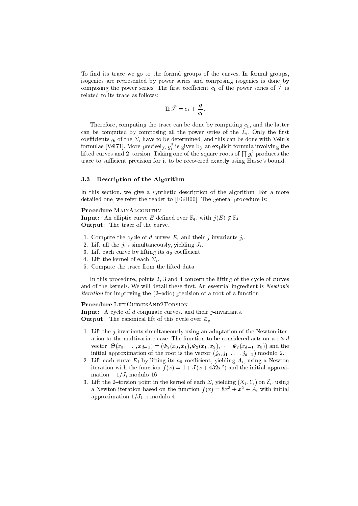To find its trace we go to the formal groups of the curves. In formal groups, isogenies are represented by power series and composing isogenies is done by composing the power series. The first coefficient  $c_1$  of the power series of  $\hat{\mathcal{F}}$  is related to its trace as follows:

$$
\mathrm{Tr}\,\hat{\mathcal{F}}=c_1+\frac{q}{c_1}
$$

Therefore, computing the trace can be done by computing  $c_1$ , and the latter can be computed by composing all the power series of the  $\Sigma_i$ . Only the first coefficients  $g_i$  of the  $\hat{\Sigma}_i$  have to be determined, and this can be done with Vélu's formulae [Vél71]. More precisely,  $g_i^2$  is given by an explicit formula involving the lifted curves and 2-torsion. Taking one of the square roots of  $\prod g_i^2$  produces the trace to sufficient precision for it to be recovered exactly using Hasse's bound.

#### $3.3$ Description of the Algorithm

In this section, we give a synthetic description of the algorithm. For a more detailed one, we refer the reader to [FGH00]. The general procedure is:

#### Procedure MAINALGORITHM

**Input:** An elliptic curve E defined over  $\mathbb{F}_q$ , with  $j(E) \notin \mathbb{F}_4$ . Output: The trace of the curve.

- 1. Compute the cycle of d curves  $E_i$  and their j-invariants  $j_i$ .
- 2. Lift all the  $j_i$ 's simultaneously, yielding  $J_i$ .
- 3. Lift each curve by lifting its  $a_6$  coefficient.
- 4. Lift the kernel of each  $\hat{\Sigma}_i$ .
- 5. Compute the trace from the lifted data.

In this procedure, points 2, 3 and 4 concern the lifting of the cycle of curves and of the kernels. We will detail these first. An essential ingredient is Newton's *iteration* for improving the (2-adic) precision of a root of a function.

## Procedure LIFTCURVESAND2TORSION

**Input:** A cycle of  $d$  conjugate curves, and their *j*-invariants. **Output:** The canonical lift of this cycle over  $\mathbb{Z}_q$ .

- 1. Lift the  $j$ -invariants simultaneously using an adaptation of the Newton iteration to the multivariate case. The function to be considered acts on a  $1 \times d$ vector:  $\Theta(x_0,\ldots,x_{d-1}) = (\Phi_2(x_0,x_1),\Phi_2(x_1,x_2),\ldots,\Phi_2(x_{d-1},x_0))$  and the initial approximation of the root is the vector  $(j_0, j_1, \ldots, j_{d-1})$  modulo 2.
- 2. Lift each curve  $E_i$  by lifting its  $a_6$  coefficient, yielding  $A_i$ , using a Newton iteration with the function  $f(x) = 1 + J(x + 432x^2)$  and the initial approximation  $-1/J_i$  modulo 16.
- 3. Lift the 2-torsion point in the kernel of each  $\hat{\Sigma}_i$  yielding  $(X_i, Y_i)$  on  $\mathcal{E}_i$ , using a Newton iteration based on the function  $f(x) = 8x^3 + x^2 + A_i$  with initial approximation  $1/J_{i+1}$  modulo 4.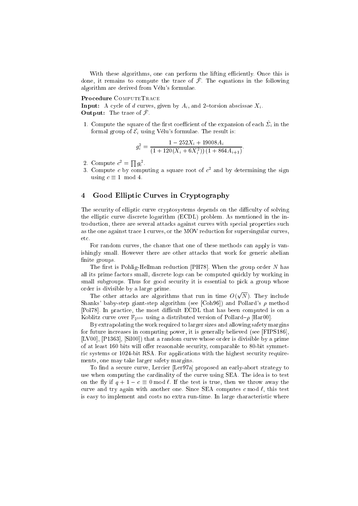With these algorithms, one can perform the lifting efficiently. Once this is done, it remains to compute the trace of  $\mathcal{F}$ . The equations in the following algorithm are derived from Vélu's formulae.

### Procedure COMPUTETRACE

**Input:** A cycle of d curves, given by  $A_i$ , and 2-torsion abscissae  $X_i$ . **Output:** The trace of  $\mathcal{F}$ .

1. Compute the square of the first coefficient of the expansion of each  $\hat{\Sigma}_i$  in the formal group of  $\mathcal{E}_i$  using Vélu's formulae. The result is:

$$
g_i^2 = \frac{1 - 252X_i + 19008A_i}{(1 + 120(X_i + 6X_i^2))(1 + 864A_{i+1})}
$$

- 2. Compute  $c^2 = \prod g_i^2$ .
- 3. Compute c by computing a square root of  $c^2$  and by determining the sign using  $c \equiv 1 \mod 4$ .

#### $\overline{4}$ Good Elliptic Curves in Cryptography

The security of elliptic curve cryptosystems depends on the difficulty of solving the elliptic curve discrete logarithm (ECDL) problem. As mentioned in the introduction, there are several attacks against curves with special properties such as the one against trace 1 curves, or the MOV reduction for supersingular curves, etc.

For random curves, the chance that one of these methods can apply is vanishingly small. However there are other attacks that work for generic abelian finite groups.

The first is Pohlig-Hellman reduction [PH78]. When the group order  $N$  has all its prime factors small, discrete logs can be computed quickly by working in small subgroups. Thus for good security it is essential to pick a group whose order is divisible by a large prime.

The other attacks are algorithms that run in time  $O(\sqrt{N})$ . They include Shanks' baby-step giant-step algorithm (see [Coh96]) and Pollard's  $\rho$  method [Pol78]. In practice, the most difficult ECDL that has been computed is on a Koblitz curve over  $\mathbb{F}_2$ <sup>109</sup> using a distributed version of Pollard- $\rho$  [Har00].

By extrapolating the work required to larger sizes and allowing safety margins for future increases in computing power, it is generally believed (see [FIPS186], [LV00],  $[P1363]$ , [Sil00]) that a random curve whose order is divisible by a prime of at least 160 bits will offer reasonable security, comparable to 80-bit symmetric systems or 1024-bit RSA. For applications with the highest security requirements, one may take larger safety margins.

To find a secure curve, Lercier [Ler97a] proposed an early-abort strategy to use when computing the cardinality of the curve using SEA. The idea is to test on the fly if  $q + 1 - c \equiv 0 \mod l$ . If the test is true, then we throw away the curve and try again with another one. Since SEA computes c mod  $\ell$ , this test is easy to implement and costs no extra run-time. In large characteristic where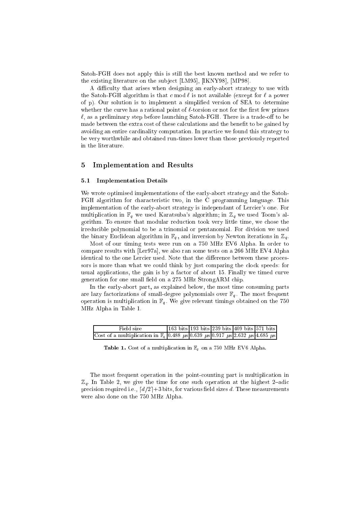Satoh-FGH does not apply this is still the best known method and we refer to the existing literature on the subject [LM95], [IKNY98], [MP98].

A difficulty that arises when designing an early-abort strategy to use with the Satoh-FGH algorithm is that c mod  $\ell$  is not available (except for  $\ell$  a power of p). Our solution is to implement a simplied version of SEA to determine whether the curve has a rational point of  $\ell$ -torsion or not for the first few primes  $\ell$ , as a preliminary step before launching Satoh-FGH. There is a trade-off to be made between the extra cost of these calculations and the benefit to be gained by avoiding an entire cardinality computation. In practice we found this strategy to be very worthwhile and obtained run-times lower than those previously reported in the literature.

#### 5Implementation and Results

#### 5.1 Implementation Details  $5.1$

We wrote optimised implementations of the early-abort strategy and the Satoh-FGH algorithm for characteristic two, in the C programming language. This implementation of the early-abort strategy is independant of Lercier's one. For multiplication in  $\mathbb{F}_q$  we used Karatsuba's algorithm; in  $\mathbb{Z}_q$  we used Toom's algorithm. To ensure that modular redu
tion took very little time, we hose the irredu
ible polynomial to be a trinomial or pentanomial. For division we used the binary Euclidean algorithm in  $\mathbb{F}_q$ , and inversion by Newton iterations in  $\mathbb{Z}_q$ .

Most of our timing tests were run on a 750 MHz EV6 Alpha. In order to compare results with  $[{\rm Ler}97a]$ , we also ran some tests on a 266 MHz EV4 Alpha identical to the one Lercier used. Note that the difference between these processors is more than what we could think by just comparing the clock speeds: for usual applications, the gain is by a factor of about 15. Finally we timed curve generation for one small field on a 275 MHz StrongARM chip.

In the early-abort part, as explained below, the most time consuming parts are lazy factorizations of small-degree polynomials over  $\mathbb{F}_q$ . The most frequent operation is multiplication in  $\mathbb{F}_q$ . We give relevant timings obtained on the 750 MHz Alpha in Table 1.

| Field size                                                                                                       |  | 163 bits 193 bits 239 bits 409 bits 571 bits |  |
|------------------------------------------------------------------------------------------------------------------|--|----------------------------------------------|--|
| Cost of a multiplication in $\mathbb{F}_q$ 0.488 $\mu s$ 0.639 $\mu s$ 0.917 $\mu s$ 2.632 $\mu s$ 4.685 $\mu s$ |  |                                              |  |

**Table 1.** Cost of a multiplication in  $\mathbb{F}_q$  on a 750 MHz EV6 Alpha.

The most frequent operation in the pointounting part is multipli
ation in  $\mathbb{Z}_q$ . In Table 2, we give the time for one such operation at the highest 2-adic precision required i.e.,  $\lceil d/2 \rceil + 3$  bits, for various field sizes d. These measurements were also done on the 750 MHz Alpha.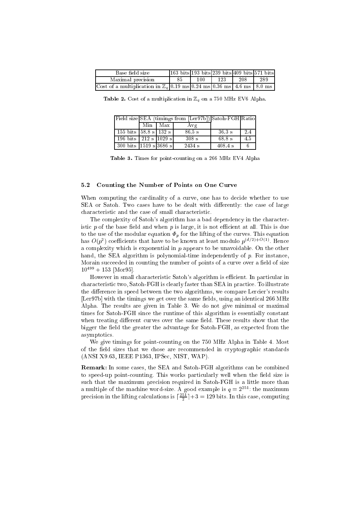| Base field size                                                                                           |     |     |     | $1163 \text{ bits}$ 193 bits 239 bits 409 bits 571 bits |     |
|-----------------------------------------------------------------------------------------------------------|-----|-----|-----|---------------------------------------------------------|-----|
| Maximal precision                                                                                         | -85 | 100 | 123 | 208                                                     | 289 |
| Cost of a multiplication in $\mathbb{Z}_q[0.19 \text{ ms}][0.24 \text{ ms}]0.36 \text{ ms}$ 4.6 ms 8.0 ms |     |     |     |                                                         |     |

**Table 2.** Cost of a multiplication in  $\mathbb{Z}_q$  on a 750 MHz EV6 Alpha.

|                                                      |           | Field size SEA (timings from [Ler97b]) Satoh-FGH Ratio |                   |     |
|------------------------------------------------------|-----------|--------------------------------------------------------|-------------------|-----|
|                                                      | Min   Max | Avg                                                    |                   |     |
| 155 bits $ 58.8 \text{ s} \overline{132 \text{ s}} $ |           | $86.5 \text{ s}$                                       | $36.3 \text{ s}$  | 2.4 |
| 196 bits $212 s 1029 s$                              |           | $308 \text{ s}$                                        | $68.8 \mathrm{s}$ | 4.5 |
| 300 bits $ 1519 \text{ s} 3686 \text{ s} $           |           | 2434 s                                                 | $408.4 \text{ s}$ |     |

Table 3. Times for point-counting on a 266 MHz EV4 Alpha

## 5.2 Counting the Number of Points on One Curve

When computing the cardinality of a curve, one has to decide whether to use SEA or Satoh. Two cases have to be dealt with differently: the case of large characteristic and the case of small characteristic.

The complexity of Satoh's algorithm has a bad dependency in the characteristic  $p$  of the base field and when  $p$  is large, it is not efficient at all. This is due to the use of the modular equation  $\Phi_p$  for the lifting of the curves. This equation  $\max \sigma(p_{\parallel})$  coemcients that have to be known at least modulo  $p_{\parallel}$  (d)  $\sim$  2). Hence a complexity which is exponential in  $p$  appears to be unavoidable. On the other hand, the SEA algorithm is polynomial-time independently of p. For instance, Morain succeeded in counting the number of points of a curve over a field of size  $10^{499} + 153$  [Mor95].

However in small characteristic Satoh's algorithm is efficient. In particular in hara
teristi two, Satoh-FGH is learly faster than SEA in pra
ti
e. To illustrate the difference in speed between the two algorithms, we compare Lercier's results [Ler97b] with the timings we get over the same fields, using an identical 266 MHz Alpha. The results are given in Table 3. We do not give minimal or maximal times for Satoh-FGH sin
e the runtime of this algorithm is essentially onstant when treating different curves over the same field. These results show that the bigger the field the greater the advantage for Satoh-FGH, as expected from the asymptoti
s.

We give timings for point-counting on the 750 MHz Alpha in Table 4. Most of the field sizes that we chose are recommended in cryptographic standards (ANSI X9.63, IEEE P1363, IPSe
, NIST, WAP).

Remark: In some cases, the SEA and Satoh-FGH algorithms can be combined to speed-up point-counting. This works particularly well when the field size is such that the maximum precision required in Satoh-FGH is a little more than a multiple of the machine word-size. A good example is  $q = 2^{251}$ : the maximum precision in the litting calculations is  $|\frac{2\pi}{2}|\ + 3| = 129$  bits. In this case, computing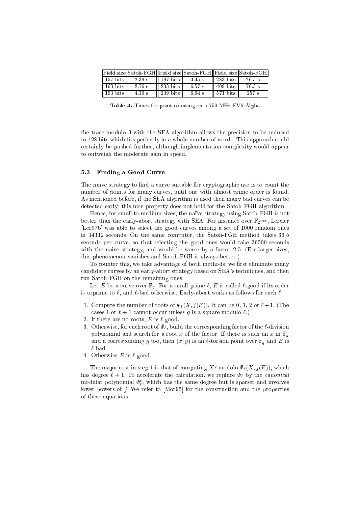|                          |                  |                                  | Field size Satoh-FGH Field size Satoh-FGH Field size Satoh-FGH |                                  |                   |
|--------------------------|------------------|----------------------------------|----------------------------------------------------------------|----------------------------------|-------------------|
| $157$ bits               | 2.39 s           | $\parallel$ 197 bits             | $4.45 \text{ s}$    283 bits                                   |                                  | 26.5 s            |
| $\vert$ 163 bits $\vert$ | 2.76 s           | 233 bits                         | $6.57$ s                                                       | $\parallel$ 409 bits             | $76.3~\mathrm{s}$ |
| 193 bits                 | $4.10 \text{ s}$ | $\parallel$ 239 bits $\parallel$ | 6.94 s                                                         | $\parallel$ 571 bits $\parallel$ | 257 s             |

Table 4. Times for pointounting on a 750 MHz EV6 Alpha

the tra
e modulo 3 with the SEA algorithm allows the pre
ision to be redu
ed to 128 bits which fits perfectly in a whole number of words. This approach could ertainly be pushed further, although implementation omplexity would appear to outweigh the moderate gain in speed.

### 5.3 Finding a Good Curve

The naïve strategy to find a curve suitable for cryptographic use is to count the number of points for many curves, until one with almost prime order is found. As mentioned before, if the SEA algorithm is used then many bad curves can be dete
ted early; this ni
e property does not hold for the Satoh-FGH algorithm.

Hence, for small to medium sizes, the naïve strategy using Satoh-FGH is not better than the early-abort strategy with SEA. For instance over  $\mathbb{F}_{2155}$ , Lercier [Ler97b] was able to select the good curves among a set of 1000 random ones in 14112 se
onds. On the same omputer, the Satoh-FGH method takes 36:5 seconds per curve, so that selecting the good ones would take 36500 seconds with the naive strategy, and would be worse by a factor 2.5. (For larger sizes, this phenomenon vanishes and Satoh-FGH is always better.)

To counter this, we take advantage of both methods: we first eliminate many andidate urves by an early-abort strategy based on SEA's te
hniques, and then run Satoh-FGH on the remaining ones.

Let E be a curve over  $\mathbb{F}_q$ . For a small prime  $\ell, E$  is called  $\ell$ -good if its order is coprime to  $\ell$ , and  $\ell$ -bad otherwise. Early-abort works as follows for each  $\ell$ :

- 1. Compute the number of roots of  $\Phi_{\ell}(X, j(E))$ . It can be 0, 1, 2 or  $\ell + 1$ . (The cases 1 or  $\ell + 1$  cannot occur unless q is a square modulo  $\ell$ .)
- 2. If there are no roots,  $E$  is  $\ell$ -good.
- 3. Otherwise, for each root of  $\Phi_f$ , build the corresponding factor of the  $\ell$ -division polynomial and search for a root x of the factor. If there is such an x in  $\mathbb{F}_q$ and a corresponding y too, then  $(x, y)$  is an  $\ell$ -torsion point over  $\mathbb{F}_q$  and E is  $\ell$ -bad.
- 4. Otherwise E is  $\ell$ -good.

The major cost in step 1 is that of computing  $X^q$  modulo  $\Phi_{\ell}(X, j(E))$ , which has degree  $\ell + 1$ . To accelerate the calculation, we replace  $\Phi_{\ell}$  by the *canonical* modular polynomial  $\varPsi_{\ell}$ , which has the same degree but is sparser and involves lower powers of j. We refer to [Mor95] for the construction and the properties of these equations.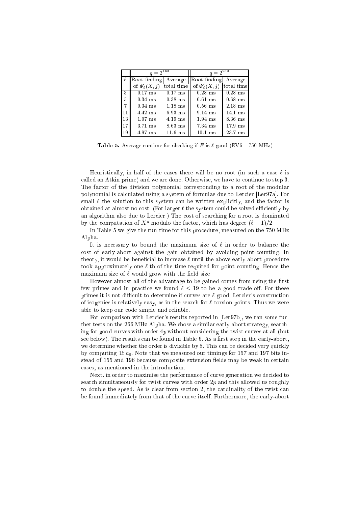|    |                            | $q = 2^{163}$ |                           | $q = 2^{239}$ |
|----|----------------------------|---------------|---------------------------|---------------|
|    | $\ell$   Root finding      | Average       | Root finding              | Average       |
|    | of $\Phi_{\ell}^{c}(X, j)$ | total time    | of $\Phi_{\ell}^{c}(X,j)$ | total time    |
| 3  | $0.17$ ms                  | $0.17$ ms     | $0.28$ ms                 | $0.28$ ms     |
| 5  | $0.34$ ms                  | $0.38$ ms     | $0.61$ ms                 | $0.68$ ms     |
| 7  | $0.34$ ms                  | $1.18$ ms     | $0.56$ ms                 | $2.18$ ms     |
| 11 | 4.42 ms                    | $6.93$ ms     | $9.14$ ms                 | $14.1$ ms     |
| 13 | $1.07$ ms                  | $4.19$ ms     | $1.94$ ms                 | 8.36 ms       |
| 17 | $3.71$ ms                  | $8.63$ ms     | 7.34 ms                   | $17.9$ ms     |
| 19 | 4.97 ms                    | $11.6$ ms     | $10.1$ ms                 | 23.7 ms       |

**Table 5.** Average runtime for checking if E is  $\ell$ -good (EV6 - 750 MHz)

Heuristically, in half of the cases there will be no root (in such a case  $\ell$  is called an Atkin prime) and we are done. Otherwise, we have to continue to step 3. The factor of the division polynomial corresponding to a root of the modular polynomial is calculated using a system of formulae due to Lercier [Ler97a]. For small  $\ell$  the solution to this system can be written explicitly, and the factor is obtained at almost no cost. (For larger  $\ell$  the system could be solved efficiently by an algorithm also due to Lercier.) The cost of searching for a root is dominated by the computation of  $X<sup>q</sup>$  modulo the factor, which has degree  $(\ell - 1)/2$ .

In Table 5 we give the run-time for this pro
edure, measured on the 750 MHz Alpha.

It is necessary to bound the maximum size of  $\ell$  in order to balance the cost of early-abort against the gain obtained by avoiding point-counting. In theory, it would be beneficial to increase  $\ell$  until the above early-abort procedure took approximately one  $\ell$ -th of the time required for point-counting. Hence the maximum size of  $\ell$  would grow with the field size.

However almost all of the advantage to be gained comes from using the first few primes and in practice we found  $\ell \leq 19$  to be a good trade-off. For these primes it is not difficult to determine if curves are  $\ell$ -good: Lercier's construction of isogenies is relatively easy, as in the search for  $\ell$ -torsion points. Thus we were able to keep our ode simple and reliable.

For comparison with Lercier's results reported in [Lerg7b], we ran some further tests on the 266 MHz Alpha. We chose a similar early-abort strategy, searching for good curves with order  $4p$  without considering the twist curves at all (but see below). The results can be found in Table 6. As a first step in the early-abort, we determine whether the order is divisible by 8. This can be decided very quickly by computing  $\text{Tr } a_6$ . Note that we measured our timings for 157 and 197 bits instead of 155 and 196 because composite extension fields may be weak in certain ases, as mentioned in the introdu
tion.

Next, in order to maximise the performance of curve generation we decided to search simultaneously for twist curves with order 2p and this allowed us roughly to double the speed. As is clear from section 2, the cardinality of the twist can be found immediately from that of the urve itself. Furthermore, the early-abort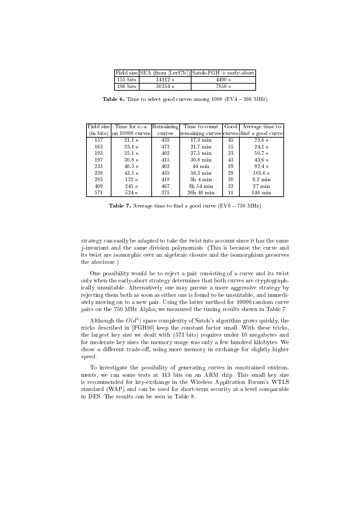|          |           | Field size SEA (from [Ler97b]) Satoh-FGH + early-abort |
|----------|-----------|--------------------------------------------------------|
| 155 bits | 14112 s   | 4490 s                                                 |
| 196 bits | $30254$ s | 7850 s                                                 |

Table 6. Time to select good curves among  $1000$  (EV4 - 266 MHz)

| Field sizel | Time for e-a.         | Remaining | Time to count      |    | Good   Average time to                    |
|-------------|-----------------------|-----------|--------------------|----|-------------------------------------------|
| (in bits)   | $\alpha$ 10000 curves | curves    |                    |    | remaining curves curves find a good curve |
| 157         | $21.1 \text{ s}$      | 435       | $17.3 \text{ min}$ | 45 | $23.6\text{ s}$                           |
| 163         | $23.1 \text{ s}$      | 473       | $21.7$ min         | 55 | $24.1$ s                                  |
| 193         | $25.1 \text{ s}$      | 402       | $27.5$ min         | 33 | $50.7 \mathrm{s}$                         |
| 197         | $30.8 \text{ s}$      | 415       | $30.8$ min         | 43 | $43.6\text{ s}$                           |
| 233         | $40.3 \mathrm{s}$     | 402       | 44 min             | 29 | $92.4~\mathrm{s}$                         |
| 239         | $43.5 \text{ s}$      | 435       | $50.3 \text{ min}$ | 29 | 105.6 s                                   |
| 283         | 122s                  | 418       | $3h4$ min          | 20 | $9.2 \text{ min}$                         |
| 409         | 245 s                 | 467       | 9h 54 min          | 22 | $27 \text{ min}$                          |
| 571         | 524 s                 | 375       | $26h$ 40 min       | 11 | $146$ min                                 |

**Table 7.** Average time to find a good curve  $(EV6 - 750 MHz)$ 

strategy can easily be adapted to take the twist into account since it has the same  $j$ -invariant and the same division polynomials. (This is because the curve and its twist are isomorphic over an algebraic closure and the isomorphism preserves the abs
issae.)

One possibility would be to reject a pair consisting of a curve and its twist only when the early-abort strategy determines that both curves are cryptographi
ally unsuitable. Alternatively one may pursue a more aggressive strategy by reje
ting them both as soon as either one is found to be unsuitable, and immediately moving on to a new pair. Using the latter method for 10000 random urve pairs on the 750 MHz Alpha, we measured the timing results shown in Table 7.

Although the  $O(d^3)$  space complexity of Satoh's algorithm grows quickly, the tricks described in [FGH00] keep the constant factor small. With these tricks, the largest key size we dealt with (571 bits) requires under 10 megabytes and for moderate key sizes the memory usage was only a few hundred kilobytes. We chose a different trade-off, using more memory in exchange for slightly higher speed.

To investigate the possibility of generating urves in onstrained environments, we ran some tests at 113 bits on an ARM chip. This small key size is re
ommended for key-ex
hange in the Wireless Appli
ation Forum's WTLS standard (WAP) and an be used for short-term se
urity at a level omparable to DES. The results an be seen in Table 8.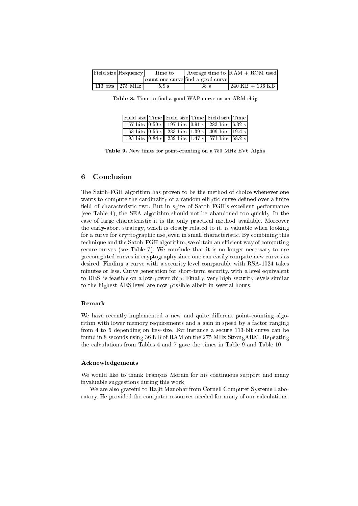| Field size Frequency | Time to          |                                   | $\vert$ Average time to $\vert$ RAM + ROM used |
|----------------------|------------------|-----------------------------------|------------------------------------------------|
|                      |                  | count one curve find a good curve |                                                |
| 113 bits $275 MHz$   | $5.9 \mathrm{s}$ | 38s                               | $1240$ KB $+$ 136 KB                           |

Table 8. Time to find a good WAP curve on an ARM chip

|  |  | Field size Time Field size Time Field size Time                                                                                                                         |  |
|--|--|-------------------------------------------------------------------------------------------------------------------------------------------------------------------------|--|
|  |  | 157 bits $\begin{bmatrix} 0.50 \text{ s} \end{bmatrix}$ 197 bits $\begin{bmatrix} 0.91 \text{ s} \end{bmatrix}$ 283 bits $\begin{bmatrix} 6.32 \text{ s} \end{bmatrix}$ |  |
|  |  | 163 bits $ 0.56 \text{ s} $ 233 bits 1.39 s  409 bits 19.4 s                                                                                                            |  |
|  |  | 193 bits $ 0.84 \text{ s} $ 239 bits 1.47 s 571 bits 58.2 s                                                                                                             |  |

Table 9. New times for point-counting on a 750 MHz EV6 Alpha

#### 6 Conclusion

The Satoh-FGH algorithm has proven to be the method of hoi
e whenever one wants to compute the cardinality of a random elliptic curve defined over a finite field of characteristic two. But in spite of Satoh-FGH's excellent performance (see Table 4), the SEA algorithm should not be abandoned too qui
kly. In the ase of large hara
teristi it is the only pra
ti
al method available. Moreover the early-abort strategy, which is closely related to it, is valuable when looking for a curve for cryptographic use, even in small characteristic. By combining this technique and the Satoh-FGH algorithm, we obtain an efficient way of computing secure curves (see Table 7). We conclude that it is no longer necessary to use pre
omputed urves in ryptography sin
e one an easily ompute new urves as desired. Finding a curve with a security level comparable with RSA-1024 takes minutes or less. Curve generation for short-term se
urity, with a level equivalent to DES, is feasible on a low-power chip. Finally, very high security levels similar to the highest AES level are now possible albeit in several hours.

### Remark

We have recently implemented a new and quite different point-counting algorithm with lower memory requirements and a gain in speed by a factor ranging from 4 to 5 depending on key-size. For instance a secure 113-bit curve can be found in 8 se
onds using 36 KB of RAM on the 275 MHz StrongARM. Repeating the al
ulations from Tables 4 and 7 gave the times in Table 9 and Table 10.

## **Acknowledgements**

We would like to thank François Morain for his continuous support and many invaluable suggestions during this work.

We are also grateful to Rajit Manohar from Cornell Computer Systems Laboratory. He provided the computer resources needed for many of our calculations.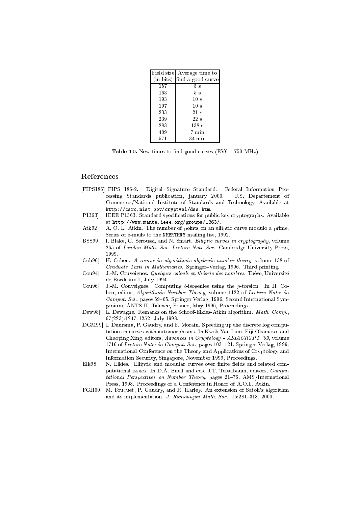|     | Field size Average time to  |
|-----|-----------------------------|
|     | (in bits) find a good curve |
| 157 | 5s                          |
| 163 | 5s                          |
| 193 | 10 <sub>s</sub>             |
| 197 | 10 <sub>s</sub>             |
| 233 | $21 \mathrm{s}$             |
| 239 | $22\mathrm{~s}$             |
| 283 | $138 \mathrm{s}$            |
| 409 | 7 min                       |
| 571 | $34 \text{ min}$            |

Table 10. New times to find good curves  $(EV6 - 750 MHz)$ 

## References

- [FIPS186] FIPS 186-2. Digital Signature Standard. Federal Information Processing Standards publication, january 2000. U.S. Departement of Commerce/National Institute of Standards and Technology. Available at http://csrc.nist.gov/cryptval/dss.htm.
- $[P1363]$ IEEE P1363. Standard specifications for public key cryptography. Available at http://www.manta.ieee.org/groups/1363/.
- $[Atk92]$ A. O. L. Atkin. The number of points on an elliptic curve modulo a prime. Series of e-mails to the NMBRTHRY mailing list, 1992.
- [BSS99] I. Blake, G. Seroussi, and N. Smart. Elliptic curves in cryptography, volume 265 of London Math. Soc. Lecture Note Ser. Cambridge University Press, 1999.
- $[Ch96]$ H. Cohen. A course in algorithmic algebraic number theory, volume 138 of Graduate Texts in Mathematics. Springer-Verlag, 1996. Third printing.
- $[Cu94]$ J. M. Couveignes. Quelques calculs en théorie des nombres. Thèse, Université de Bordeaux I, July 1994.
- $[Cu96]$ J.-M. Couveignes. Computing  $\ell$ -isogenies using the p-torsion. In H. Cohen, editor, Algorithmic Number Theory, volume 1122 of Lecture Notes in  $Comput.~ Sci.,$  pages 59-65. Springer Verlag, 1996. Second International Symposium, ANTS-II, Talence, France, May 1996, Proceedings.
- [ $Dew98$ ] L. Dewaghe. Remarks on the Schoof-Elkies-Atkin algorithm. Math. Comp., 67(223):1247-1252, July 1998.
- [DGM99] I. Duursma, P. Gaudry, and F. Morain. Speeding up the discrete log computation on curves with automorphisms. In Kwok Yan Lam, Eiji Okamoto, and Chaoping Xing, editors, Advances in Cryptology - ASIACRYPT '99, volume 1716 of Lecture Notes in Comput. Sci., pages 103-121. Springer-Verlag, 1999. International Conference on the Theory and Applications of Cryptology and Information Security, Singapore, November 1999, Proceedings.
- [Elk98] N. Elkies. Elliptic and modular curves over finite fields and related computational issues. In D.A. Buell and eds. J.T. Teitelbaum, editors, Computational Perspectives on Number Theory, pages 21-76. AMS/International Press, 1998. Proceedings of a Conference in Honor of A.O.L. Atkin.
- $[FGH00]$ M. Fouquet, P. Gaudry, and R. Harley. An extension of Satoh's algorithm and its implementation. J. Ramanujan Math. Soc., 15:281-318, 2000.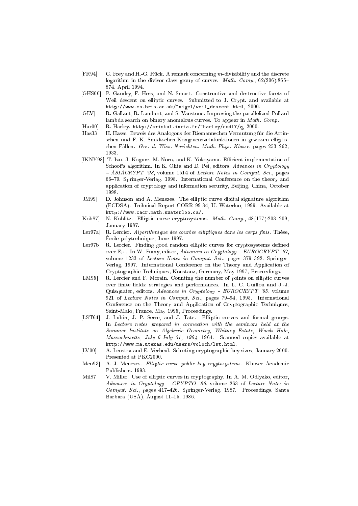- $[FR94]$ G. Frey and H.-G. Rück. A remark concerning m-divisibility and the discrete logarithm in the divisor class group of curves. *Math. Comp.*,  $62(206):865-$ 874, April 1994.
- $[GHS00]$ P. Gaudry, F. Hess, and N. Smart. Constructive and destructive facets of Weil descent on elliptic curves. Submitted to J. Crypt. and available at  $\verb+http://www.cs.bris.ac.uk/~nige1/weil_descent.html, 2000.$
- $[GLV]$ R. Gallant, R. Lambert, and S. Vanstone. Improving the parallelized Pollard lambda search on binary anomalous curves. To appear in Math. Comp.
- $[Har00]$ R. Harley. http://cristal.inria.fr/"harley/ecdl7/q, 2000.
- $[Has33]$ H. Hasse. Beweis des Analogons der Riemannschen Vermutung für die Artinschen und F. K. Smidtschen Kongruenzzetafunktionen in gewissen elliptischen Fällen. Ges. d. Wiss. Narichten. Math. Phys. Klasse, pages 253-262, 1933.
- [IKNY98] T. Izu, J. Kogure, M. Noro, and K. Yokoyama. Efficient implementation of Schoof's algorithm. In K. Ohta and D. Pei, editors, Advances in Cryptology - ASIACRYPT '98, volume 1514 of Lecture Notes in Comput. Sci., pages 66-79. Springer-Verlag, 1998. International Conference on the theory and application of cryptology and information security, Beijing, China, October 1998.
- $[JM99]$ D. Johnson and A. Menezes. The elliptic curve digital signature algorithm (ECDSA). Technical Report CORR 99-34, U. Waterloo, 1999. Available at http://www.cacr.math.uwaterloo.ca/.
- [Kob87] N. Koblitz. Elliptic curve cryptosystems. Math. Comp., 48(177):203-209, January 1987.
- [Ler97a] R. Lercier. Algorithmique des courbes elliptiques dans les corps finis. Thèse, École polytechnique, June 1997.
- $[Ler97b]$ R. Lercier. Finding good random elliptic curves for cryptosystems defined over  $\mathbb{F}_{2^n}$ . In W. Fumy, editor, Advances in Cryptology - EUROCRYPT '97, volume 1233 of Lecture Notes in Comput. Sci., pages 379-392. Springer-Verlag, 1997. International Conference on the Theory and Application of Cryptographic Techniques, Konstanz, Germany, May 1997, Proceedings.
- $[LM95]$ R. Lercier and F. Morain. Counting the number of points on elliptic curves over finite fields: strategies and performances. In L. C. Guillou and J.-J. Quisquater, editors, Advances in Cryptology - EUROCRYPT '95, volume 921 of Lecture Notes in Comput. Sci., pages 79-94, 1995. International Conference on the Theory and Application of Cryptographic Techniques, Saint-Malo, France, May 1995, Proceedings.
- $[LST64]$ J. Lubin, J. P. Serre, and J. Tate. Elliptic curves and formal groups. In Lecture notes prepared in connection with the seminars held at the Summer Institute on Algebraic Geometry, Whitney Estate, Woods Hole, Massachusetts, July 6-July 31, 1964, 1964. Scanned copies available at http://www.ma.utexas.edu/users/voloch/lst.html.
- $[LV00]$ A. Lenstra and E. Verheul. Selecting cryptographic key sizes, January 2000. Presented at PKC2000.
- $[Men93]$ A. J. Menezes. Elliptic curve public key cryptosystems. Kluwer Academic Publishers, 1993.
- $[Mil87]$ V. Miller. Use of elliptic curves in cryptography. In A. M. Odlyzko, editor, Advances in Cryptology - CRYPTO '86, volume 263 of Lecture Notes in Comput. Sci., pages 417-426. Springer-Verlag, 1987. Proceedings, Santa Barbara (USA), August 11-15, 1986.